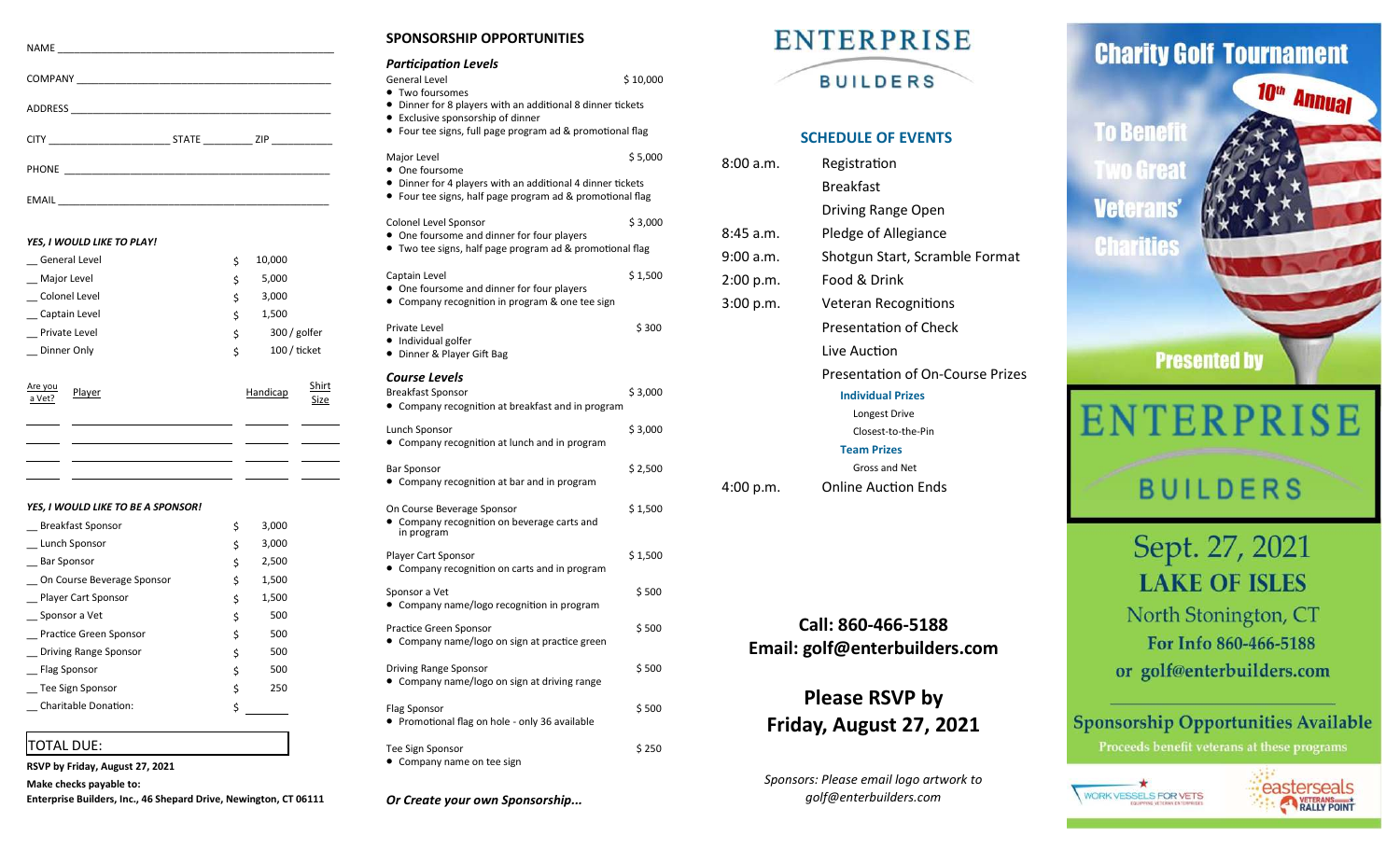| CITY <b>CITY CITY</b> | STATE ZIP |
|-----------------------|-----------|
|                       |           |

EMAIL \_\_\_\_\_\_\_\_\_\_\_\_\_\_\_\_\_\_\_\_\_\_\_\_\_\_\_\_\_\_\_\_\_\_\_\_\_\_\_\_\_\_\_\_\_\_\_\_\_

#### *YES, I WOULD LIKE TO PLAY!*

|                   | General Level |  | \$<br>10,000        |                      |
|-------------------|---------------|--|---------------------|----------------------|
|                   | Major Level   |  | \$<br>5,000         |                      |
|                   | Colonel Level |  | \$<br>3,000         |                      |
|                   | Captain Level |  | \$<br>1,500         |                      |
|                   | Private Level |  | \$<br>300 / golfer  |                      |
|                   | Dinner Only   |  | \$<br>$100/$ ticket |                      |
| Are you<br>a Vet? | Player        |  | Handicap            | Shirt<br><b>Size</b> |
|                   |               |  |                     |                      |
|                   |               |  |                     |                      |

#### *YES, I WOULD LIKE TO BE A SPONSOR!*

| <b>Breakfast Sponsor</b>      | \$<br>3,000 |  |
|-------------------------------|-------------|--|
| Lunch Sponsor                 | \$<br>3,000 |  |
| <b>Bar Sponsor</b>            | \$<br>2,500 |  |
| On Course Beverage Sponsor    | \$<br>1,500 |  |
| <b>Player Cart Sponsor</b>    | \$<br>1,500 |  |
| Sponsor a Vet                 | \$<br>500   |  |
| <b>Practice Green Sponsor</b> | \$<br>500   |  |
| Driving Range Sponsor         | \$<br>500   |  |
| Flag Sponsor                  | \$<br>500   |  |
| Tee Sign Sponsor              | \$<br>250   |  |
| <b>Charitable Donation:</b>   | \$          |  |

## TOTAL DUE:

**RSVP by Friday, August 27, 2021 Make checks payable to: Enterprise Builders, Inc., 46 Shepard Drive, Newington, CT 06111** **SPONSORSHIP OPPORTUNITIES**

| SPUNJUNJINIF UFFUNTUNITIEJ                                                                                                                                                                                                             |          |
|----------------------------------------------------------------------------------------------------------------------------------------------------------------------------------------------------------------------------------------|----------|
| <b>Participation Levels</b><br><b>General Level</b><br>• Two foursomes<br>• Dinner for 8 players with an additional 8 dinner tickets<br>• Exclusive sponsorship of dinner<br>• Four tee signs, full page program ad & promotional flag | \$10,000 |
| Major Level<br>• One foursome<br>• Dinner for 4 players with an additional 4 dinner tickets<br>• Four tee signs, half page program ad & promotional flag                                                                               | \$5,000  |
| Colonel Level Sponsor<br>One foursome and dinner for four players<br>Two tee signs, half page program ad & promotional flag                                                                                                            | \$3,000  |
| Captain Level<br>• One foursome and dinner for four players<br>• Company recognition in program & one tee sign                                                                                                                         | \$1,500  |
| Private Level<br>• Individual golfer<br>• Dinner & Player Gift Bag                                                                                                                                                                     | \$300    |
| Course Levels<br><b>Breakfast Sponsor</b><br>• Company recognition at breakfast and in program                                                                                                                                         | \$3,000  |
| Lunch Sponsor<br>• Company recognition at lunch and in program                                                                                                                                                                         | \$3,000  |
| Bar Sponsor<br>Company recognition at bar and in program                                                                                                                                                                               | \$2,500  |
| On Course Beverage Sponsor<br>Company recognition on beverage carts and<br>in program                                                                                                                                                  | \$1,500  |
| Player Cart Sponsor<br>• Company recognition on carts and in program                                                                                                                                                                   | \$1,500  |
| Sponsor a Vet<br>• Company name/logo recognition in program                                                                                                                                                                            | \$ 500   |
| Practice Green Sponsor<br>• Company name/logo on sign at practice green                                                                                                                                                                | \$ 500   |
| Driving Range Sponsor<br>Company name/logo on sign at driving range                                                                                                                                                                    | \$500    |
| Flag Sponsor<br>• Promotional flag on hole - only 36 available                                                                                                                                                                         | \$500    |
| Tee Sign Sponsor<br>• Company name on tee sign                                                                                                                                                                                         | \$250    |

*Or Create your own Sponsorship...*



### **SCHEDULE OF EVENTS**

| 8:00 a.m. | Registration                            |
|-----------|-----------------------------------------|
|           | <b>Breakfast</b>                        |
|           | Driving Range Open                      |
| 8:45 a.m. | Pledge of Allegiance                    |
| 9:00 a.m. | Shotgun Start, Scramble Format          |
| 2:00 p.m. | Food & Drink                            |
| 3:00 p.m. | Veteran Recognitions                    |
|           | <b>Presentation of Check</b>            |
|           | Live Auction                            |
|           | <b>Presentation of On-Course Prizes</b> |
|           | <b>Individual Prizes</b>                |
|           | Longest Drive                           |
|           | Closest-to-the-Pin                      |
|           | <b>Team Prizes</b>                      |
|           | Gross and Net                           |

4:00 p.m. Online Auction Ends

## **Call: 860-466-5188 Email: golf@enterbuilders.com**

## **Please RSVP by Friday, August 27, 2021**

*Sponsors: Please email logo artwork to golf@enterbuilders.com*





# **BUILDERS**

Sept. 27, 2021 **LAKE OF ISLES** North Stonington, CT For Info 860-466-5188

or golf@enterbuilders.com

## **Sponsorship Opportunities Available**

Proceeds benefit veterans at these programs